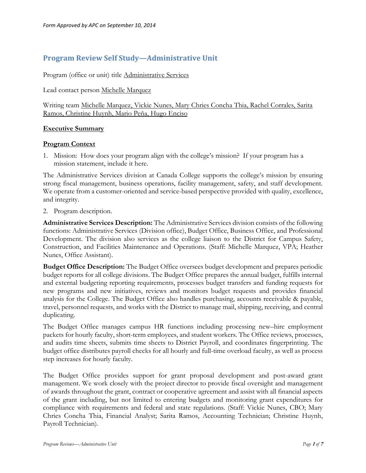# **Program Review Self Study—Administrative Unit**

Program (office or unit) title Administrative Services

Lead contact person Michelle Marquez

Writing team Michelle Marquez, Vickie Nunes, Mary Chries Concha Thia, Rachel Corrales, Sarita Ramos, Christine Huynh, Mario Peña, Hugo Enciso

#### **Executive Summary**

#### **Program Context**

1. Mission: How does your program align with the college's mission? If your program has a mission statement, include it here.

The Administrative Services division at Canada College supports the college's mission by ensuring strong fiscal management, business operations, facility management, safety, and staff development. We operate from a customer-oriented and service-based perspective provided with quality, excellence, and integrity.

2. Program description.

**Administrative Services Description:** The Administrative Services division consists of the following functions: Administrative Services (Division office), Budget Office, Business Office, and Professional Development. The division also services as the college liaison to the District for Campus Safety, Construction, and Facilities Maintenance and Operations. (Staff: Michelle Marquez, VPA; Heather Nunes, Office Assistant).

**Budget Office Description:** The Budget Office oversees budget development and prepares periodic budget reports for all college divisions. The Budget Office prepares the annual budget, fulfills internal and external budgeting reporting requirements, processes budget transfers and funding requests for new programs and new initiatives, reviews and monitors budget requests and provides financial analysis for the College. The Budget Office also handles purchasing, accounts receivable & payable, travel, personnel requests, and works with the District to manage mail, shipping, receiving, and central duplicating.

The Budget Office manages campus HR functions including processing new–hire employment packets for hourly faculty, short-term employees, and student workers. The Office reviews, processes, and audits time sheets, submits time sheets to District Payroll, and coordinates fingerprinting. The budget office distributes payroll checks for all hourly and full-time overload faculty, as well as process step increases for hourly faculty.

The Budget Office provides support for grant proposal development and post-award grant management. We work closely with the project director to provide fiscal oversight and management of awards throughout the grant, contract or cooperative agreement and assist with all financial aspects of the grant including, but not limited to entering budgets and monitoring grant expenditures for compliance with requirements and federal and state regulations. (Staff: Vickie Nunes, CBO; Mary Chries Concha Thia, Financial Analyst; Sarita Ramos, Accounting Technician; Christine Huynh, Payroll Technician).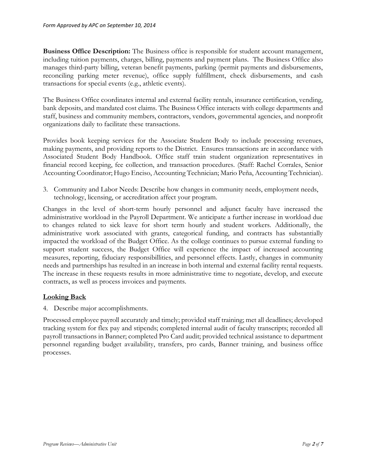**Business Office Description:** The Business office is responsible for student account management, including tuition payments, charges, billing, payments and payment plans. The Business Office also manages third-party billing, veteran benefit payments, parking (permit payments and disbursements, reconciling parking meter revenue), office supply fulfillment, check disbursements, and cash transactions for special events (e.g., athletic events).

The Business Office coordinates internal and external facility rentals, insurance certification, vending, bank deposits, and mandated cost claims. The Business Office interacts with college departments and staff, business and community members, contractors, vendors, governmental agencies, and nonprofit organizations daily to facilitate these transactions.

Provides book keeping services for the Associate Student Body to include processing revenues, making payments, and providing reports to the District. Ensures transactions are in accordance with Associated Student Body Handbook. Office staff train student organization representatives in financial record keeping, fee collection, and transaction procedures. (Staff: Rachel Corrales, Senior Accounting Coordinator; Hugo Enciso, Accounting Technician; Mario Peña, Accounting Technician).

3. Community and Labor Needs: Describe how changes in community needs, employment needs, technology, licensing, or accreditation affect your program.

Changes in the level of short-term hourly personnel and adjunct faculty have increased the administrative workload in the Payroll Department. We anticipate a further increase in workload due to changes related to sick leave for short term hourly and student workers. Additionally, the administrative work associated with grants, categorical funding, and contracts has substantially impacted the workload of the Budget Office. As the college continues to pursue external funding to support student success, the Budget Office will experience the impact of increased accounting measures, reporting, fiduciary responsibillities, and personnel effects. Lastly, changes in community needs and partnerships has resulted in an increase in both internal and external facility rental requests. The increase in these requests results in more administrative time to negotiate, develop, and execute contracts, as well as process invoices and payments.

# **Looking Back**

4. Describe major accomplishments.

Processed employee payroll accurately and timely; provided staff training; met all deadlines; developed tracking system for flex pay and stipends; completed internal audit of faculty transcripts; recorded all payroll transactions in Banner; completed Pro Card audit; provided technical assistance to department personnel regarding budget availability, transfers, pro cards, Banner training, and business office processes.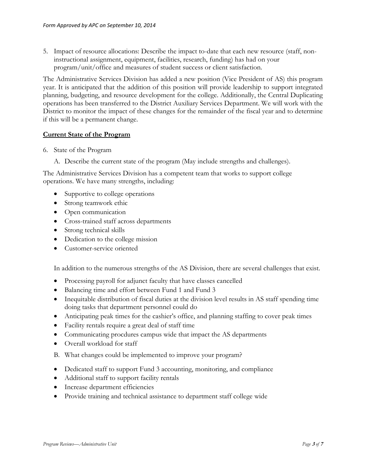5. Impact of resource allocations: Describe the impact to-date that each new resource (staff, noninstructional assignment, equipment, facilities, research, funding) has had on your program/unit/office and measures of student success or client satisfaction.

The Administrative Services Division has added a new position (Vice President of AS) this program year. It is anticipated that the addition of this position will provide leadership to support integrated planning, budgeting, and resource development for the college. Additionally, the Central Duplicating operations has been transferred to the District Auxiliary Services Department. We will work with the District to monitor the impact of these changes for the remainder of the fiscal year and to determine if this will be a permanent change.

# **Current State of the Program**

- 6. State of the Program
	- A. Describe the current state of the program (May include strengths and challenges).

The Administrative Services Division has a competent team that works to support college operations. We have many strengths, including:

- Supportive to college operations
- Strong teamwork ethic
- Open communication
- Cross-trained staff across departments
- Strong technical skills
- Dedication to the college mission
- Customer-service oriented

In addition to the numerous strengths of the AS Division, there are several challenges that exist.

- Processing payroll for adjunct faculty that have classes cancelled
- Balancing time and effort between Fund 1 and Fund 3
- Inequitable distribution of fiscal duties at the division level results in AS staff spending time doing tasks that department personnel could do
- Anticipating peak times for the cashier's office, and planning staffing to cover peak times
- Facility rentals require a great deal of staff time
- Communicating procdures campus wide that impact the AS departments
- Overall workload for staff
- B. What changes could be implemented to improve your program?
- Dedicated staff to support Fund 3 accounting, monitoring, and compliance
- Additional staff to support facility rentals
- Increase department efficiencies
- Provide training and technical assistance to department staff college wide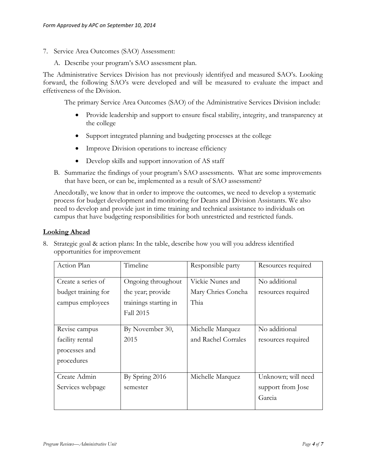- 7. Service Area Outcomes (SAO) Assessment:
	- A. Describe your program's SAO assessment plan.

The Administrative Services Division has not previously identifyed and measured SAO's. Looking forward, the following SAO's were developed and will be measured to evaluate the impact and effetiveness of the Division.

The primary Service Area Outcomes (SAO) of the Administrative Services Division include:

- Provide leadership and support to ensure fiscal stability, integrity, and transparency at the college
- Support integrated planning and budgeting processes at the college
- Improve Division operations to increase efficiency
- Develop skills and support innovation of AS staff
- B. Summarize the findings of your program's SAO assessments. What are some improvements that have been, or can be, implemented as a result of SAO assessment?

Anecdotally, we know that in order to improve the outcomes, we need to develop a systematic process for budget development and monitoring for Deans and Division Assistants. We also need to develop and provide just in time training and technical assistance to individuals on campus that have budgeting responsibilities for both unrestricted and restricted funds.

#### **Looking Ahead**

| 8. Strategic goal & action plans: In the table, describe how you will you address identified |
|----------------------------------------------------------------------------------------------|
| opportunities for improvement                                                                |

| Action Plan             | Timeline              | Responsible party   | Resources required |
|-------------------------|-----------------------|---------------------|--------------------|
| Create a series of      | Ongoing throughout    | Vickie Nunes and    | No additional      |
| budget training for     | the year; provide     | Mary Chries Concha  | resources required |
| campus employees        | trainings starting in | Thia                |                    |
|                         | <b>Fall 2015</b>      |                     |                    |
|                         |                       |                     |                    |
| Revise campus           | By November 30,       | Michelle Marquez    | No additional      |
| 2015<br>facility rental |                       | and Rachel Corrales | resources required |
| processes and           |                       |                     |                    |
| procedures              |                       |                     |                    |
|                         |                       |                     |                    |
| Create Admin            | By Spring 2016        | Michelle Marquez    | Unknown; will need |
| Services webpage        | semester              |                     | support from Jose  |
|                         |                       |                     | Garcia             |
|                         |                       |                     |                    |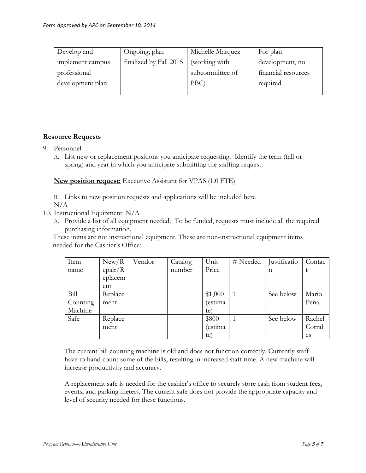| Develop and      | Ongoing; plan          | Michelle Marquez | For plan            |
|------------------|------------------------|------------------|---------------------|
| implement campus | finalized by Fall 2015 | (working with    | development, no     |
| professional     |                        | subcommittee of  | financial resources |
| development plan |                        | PBC              | required.           |
|                  |                        |                  |                     |

# **Resource Requests**

- 9. Personnel:
	- A. List new or replacement positions you anticipate requesting. Identify the term (fall or spring) and year in which you anticipate submitting the staffing request.

**New position request:** Executive Assistant for VPAS (1.0 FTE)

B. Links to new position requests and applications will be included here N/A

- 10. Instructional Equipment: N/A
	- A. Provide a list of all equipment needed. To be funded, requests must include all the required purchasing information.

These items are not instructional equipment. These are non-instructional equipment items needed for the Cashier's Office:

| Item     | New/R   | Vendor | Catalog | Unit    | # Needed       | Justificatio | Contac |
|----------|---------|--------|---------|---------|----------------|--------------|--------|
| name     | epair/R |        | number  | Price   |                | n            |        |
|          | eplacem |        |         |         |                |              |        |
|          | ent     |        |         |         |                |              |        |
| Bill     | Replace |        |         | \$1,000 | $\overline{1}$ | See below    | Mario  |
| Counting | ment    |        |         | (estima |                |              | Pena   |
| Machine  |         |        |         | te)     |                |              |        |
| Safe     | Replace |        |         | \$800   |                | See below    | Rachel |
|          | ment    |        |         | (estima |                |              | Corral |
|          |         |        |         | te)     |                |              | es     |

The current bill counting machine is old and does not function correctly. Currently staff have to hand count some of the bills, resulting in increased staff time. A new machine will increase productivity and accuracy.

A replacement safe is needed for the cashier's office to securely store cash from student fees, events, and parking meters. The current safe does not provide the appropriate capacity and level of security needed for these functions.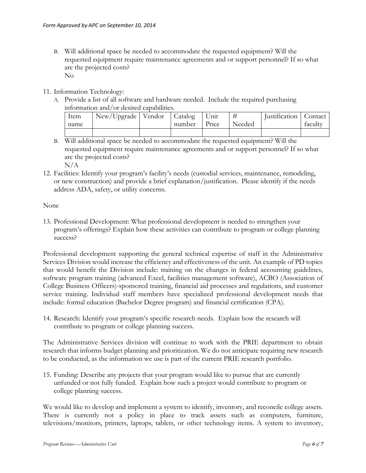- B. Will additional space be needed to accommodate the requested equipment? Will the requested equipment require maintenance agreements and or support personnel? If so what are the projected costs? No
- 11. Information Technology:
	- A. Provide a list of all software and hardware needed. Include the required purchasing information and/or desired capabilities.

| Item | New/Upgrade   Vendor   Catalog |        | Unit  |        | Justification   Contact |         |
|------|--------------------------------|--------|-------|--------|-------------------------|---------|
| name |                                | number | Price | Needed |                         | faculty |
|      |                                |        |       |        |                         |         |

B. Will additional space be needed to accommodate the requested equipment? Will the requested equipment require maintenance agreements and or support personnel? If so what are the projected costs?

N/A

12. Facilities: Identify your program's facility's needs (custodial services, maintenance, remodeling, or new construction) and provide a brief explanation/justification. Please identify if the needs address ADA, safety, or utility concerns.

None

13. Professional Development: What professional development is needed to strengthen your program's offerings? Explain how these activities can contribute to program or college planning success?

Professional development supporting the general technical expertise of staff in the Administrative Services Division would increase the efficiency and effectiveness of the unit. An example of PD topics that would benefit the Division include: training on the changes in federal accounting guidelines, software program training (advanced Excel, facilities management software), ACBO (Association of College Business Officers)-sponsored training, financial aid processes and regulations, and customer service training. Individual staff members have specialized professional development needs that include: formal education (Bachelor Degree program) and financial certification (CPA).

14. Research: Identify your program's specific research needs. Explain how the research will contribute to program or college planning success.

The Administrative Services division will continue to work with the PRIE department to obtain research that informs budget planning and prioritization. We do not anticipate requiring new research to be conducted, as the information we use is part of the current PRIE research portfolio.

15. Funding: Describe any projects that your program would like to pursue that are currently unfunded or not fully funded. Explain how such a project would contribute to program or college planning success.

We would like to develop and implement a system to identify, inventory, and reconcile college assets. There is currently not a policy in place to track assets such as computers, furniture, televisions/monitors, printers, laptops, tablets, or other technology items. A system to inventory,